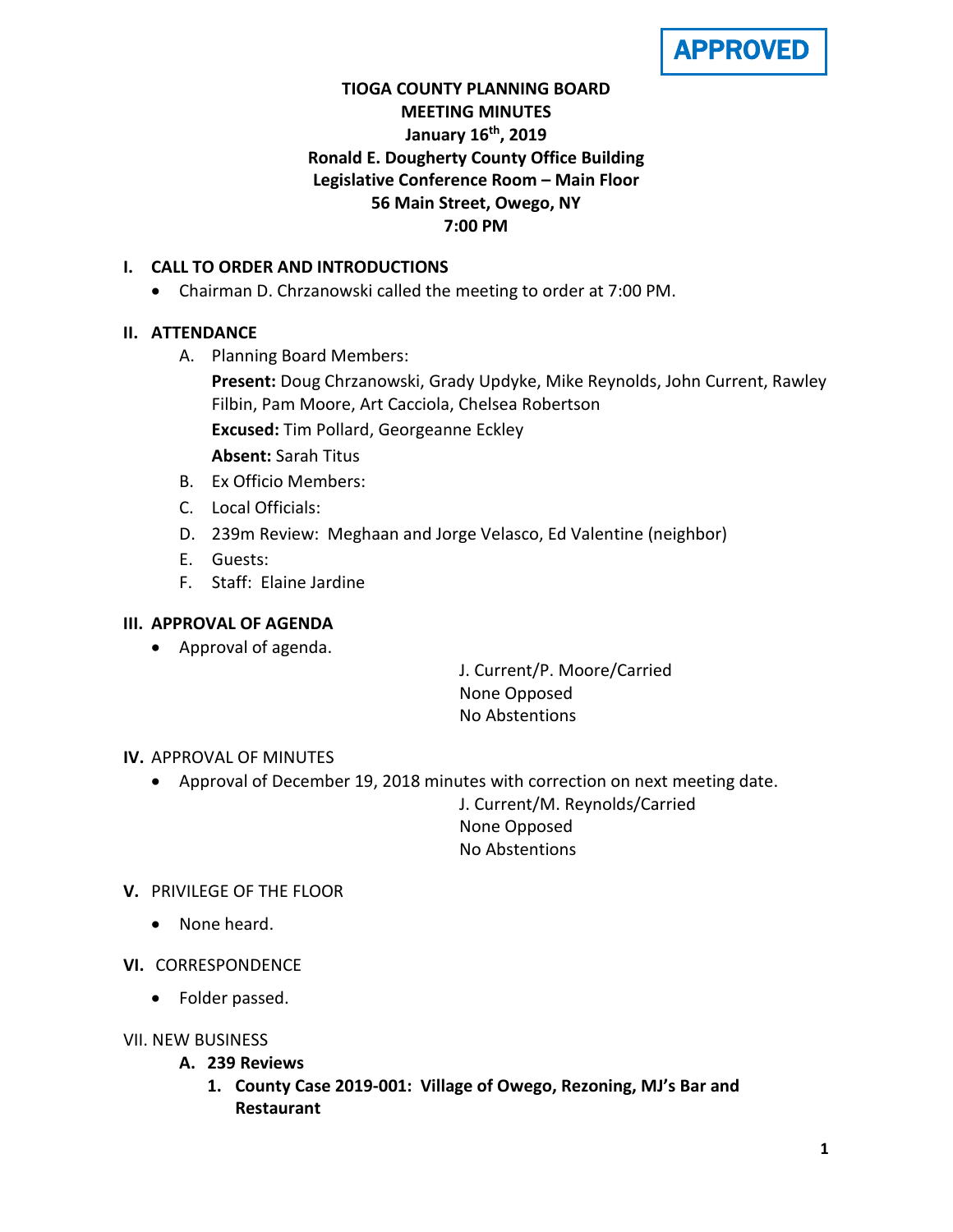**APPROVED** 

# **TIOGA COUNTY PLANNING BOARD MEETING MINUTES January 16th, 2019 Ronald E. Dougherty County Office Building Legislative Conference Room – Main Floor 56 Main Street, Owego, NY 7:00 PM**

## **I. CALL TO ORDER AND INTRODUCTIONS**

• Chairman D. Chrzanowski called the meeting to order at 7:00 PM.

## **II. ATTENDANCE**

A. Planning Board Members:

**Present:** Doug Chrzanowski, Grady Updyke, Mike Reynolds, John Current, Rawley Filbin, Pam Moore, Art Cacciola, Chelsea Robertson

**Excused:** Tim Pollard, Georgeanne Eckley

**Absent:** Sarah Titus

- B. Ex Officio Members:
- C. Local Officials:
- D. 239m Review: Meghaan and Jorge Velasco, Ed Valentine (neighbor)
- E. Guests:
- F. Staff: Elaine Jardine

## **III. APPROVAL OF AGENDA**

• Approval of agenda.

J. Current/P. Moore/Carried None Opposed No Abstentions

### **IV.** APPROVAL OF MINUTES

• Approval of December 19, 2018 minutes with correction on next meeting date.

J. Current/M. Reynolds/Carried None Opposed No Abstentions

### **V.** PRIVILEGE OF THE FLOOR

- None heard.
- **VI.** CORRESPONDENCE
	- Folder passed.
- VII. NEW BUSINESS
	- **A. 239 Reviews**
		- **1. County Case 2019-001: Village of Owego, Rezoning, MJ's Bar and Restaurant**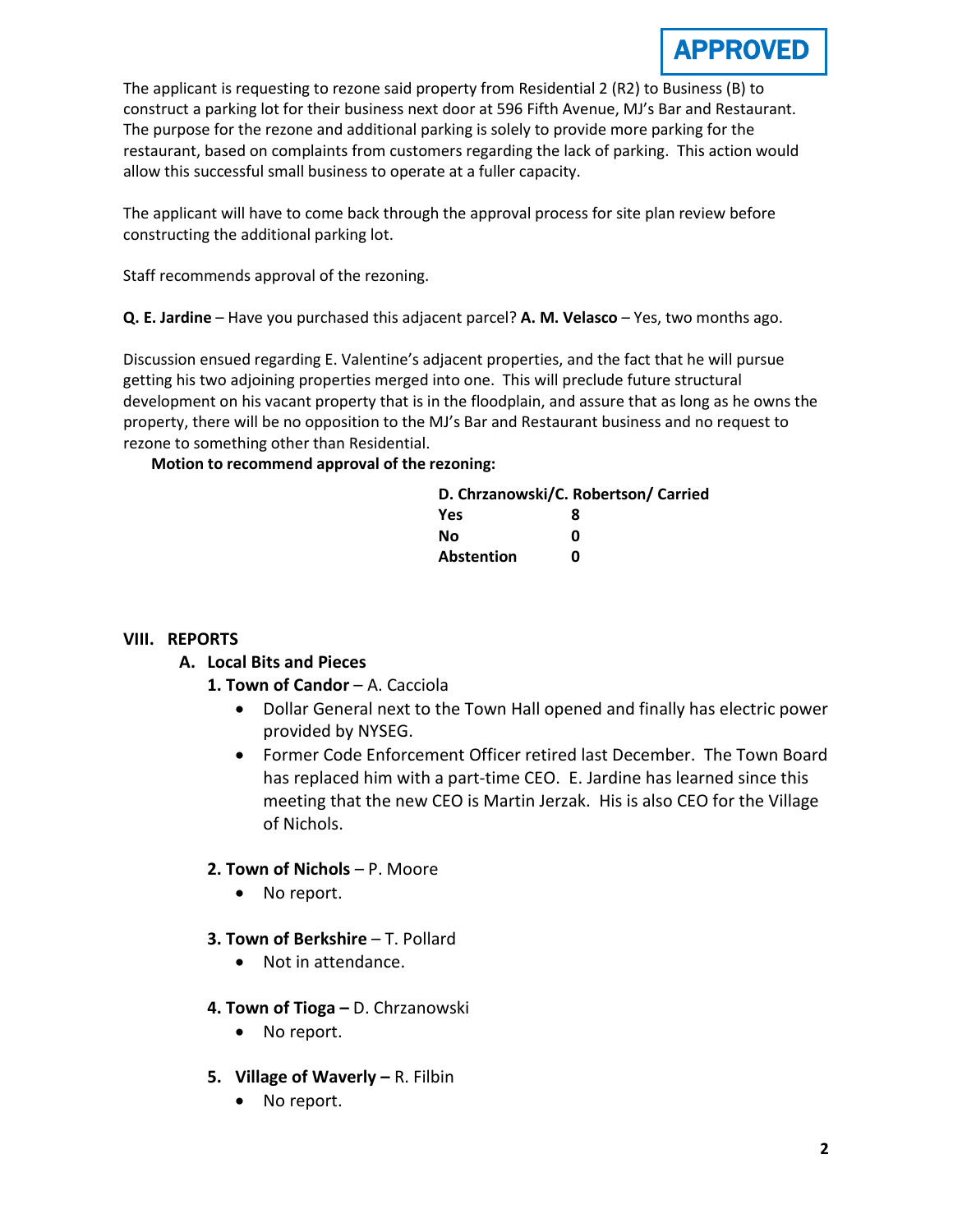The applicant is requesting to rezone said property from Residential 2 (R2) to Business (B) to construct a parking lot for their business next door at 596 Fifth Avenue, MJ's Bar and Restaurant. The purpose for the rezone and additional parking is solely to provide more parking for the restaurant, based on complaints from customers regarding the lack of parking. This action would allow this successful small business to operate at a fuller capacity.

The applicant will have to come back through the approval process for site plan review before constructing the additional parking lot.

Staff recommends approval of the rezoning.

**Q. E. Jardine** – Have you purchased this adjacent parcel? **A. M. Velasco** – Yes, two months ago.

Discussion ensued regarding E. Valentine's adjacent properties, and the fact that he will pursue getting his two adjoining properties merged into one. This will preclude future structural development on his vacant property that is in the floodplain, and assure that as long as he owns the property, there will be no opposition to the MJ's Bar and Restaurant business and no request to rezone to something other than Residential.

**Motion to recommend approval of the rezoning:**

|            | D. Chrzanowski/C. Robertson/ Carried |
|------------|--------------------------------------|
| <b>Yes</b> | я                                    |
| No.        | Ω                                    |
| Abstention | n                                    |

### **VIII. REPORTS**

# **A. Local Bits and Pieces**

- **1. Town of Candor** A. Cacciola
	- Dollar General next to the Town Hall opened and finally has electric power provided by NYSEG.
	- Former Code Enforcement Officer retired last December. The Town Board has replaced him with a part-time CEO. E. Jardine has learned since this meeting that the new CEO is Martin Jerzak. His is also CEO for the Village of Nichols.

# **2. Town of Nichols** – P. Moore

- No report.
- **3. Town of Berkshire**  T. Pollard
	- Not in attendance.
- **4. Town of Tioga –** D. Chrzanowski
	- No report.
- **5. Village of Waverly –** R. Filbin
	- No report.